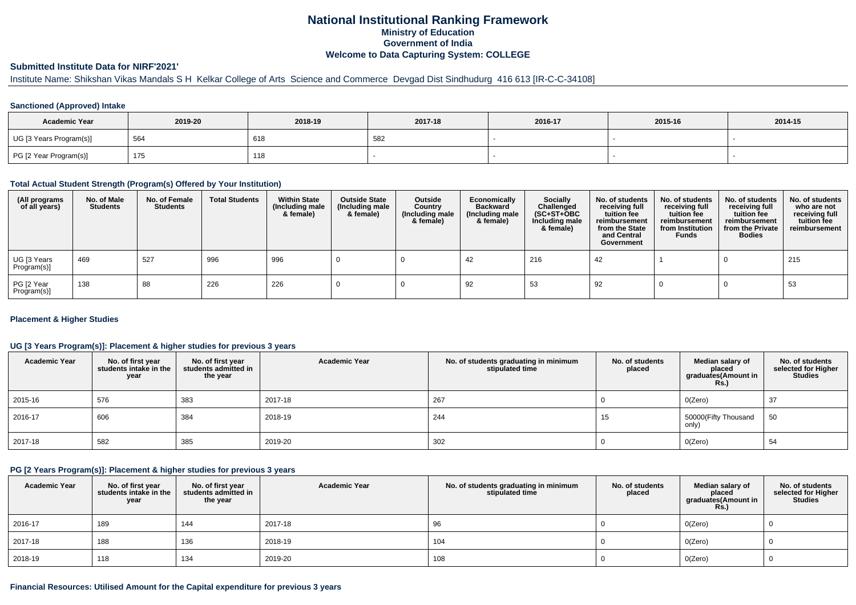# **National Institutional Ranking FrameworkMinistry of Education Government of IndiaWelcome to Data Capturing System: COLLEGE**

### **Submitted Institute Data for NIRF'2021'**

# Institute Name: Shikshan Vikas Mandals S H Kelkar College of Arts Science and Commerce Devgad Dist Sindhudurg 416 613 [IR-C-C-34108]

## **Sanctioned (Approved) Intake**

| <b>Academic Year</b>    | 2019-20 | 2018-19 | 2017-18             | 2016-17 | 2015-16 | 2014-15 |
|-------------------------|---------|---------|---------------------|---------|---------|---------|
| UG [3 Years Program(s)] | 564     | 618     | <b>58.</b><br>- 702 |         |         |         |
| PG [2 Year Program(s)]  | 175     | 118     |                     |         |         |         |

#### **Total Actual Student Strength (Program(s) Offered by Your Institution)**

| (All programs<br>of all years) | No. of Male<br><b>Students</b> | No. of Female<br>Students | <b>Total Students</b> | <b>Within State</b><br>(Including male<br>& female) | <b>Outside State</b><br>(Including male<br>& female) | Outside<br>Country<br>(Including male<br>& female) | Economically<br><b>Backward</b><br>(Including male<br>& female) | <b>Socially</b><br>Challenged<br>$(SC+ST+OBC)$<br>Including male<br>& female) | No. of students<br>receiving full<br>tuition fee<br>reimbursement<br>from the State<br>and Central<br>Government | No. of students<br>receiving full<br>tuition fee<br>reimbursement<br>from Institution<br><b>Funds</b> | No. of students<br>receiving full<br>tuition fee<br>reimbursement<br>from the Private<br><b>Bodies</b> | No. of students<br>who are not<br>receiving full<br>tuition fee<br>reimbursement |
|--------------------------------|--------------------------------|---------------------------|-----------------------|-----------------------------------------------------|------------------------------------------------------|----------------------------------------------------|-----------------------------------------------------------------|-------------------------------------------------------------------------------|------------------------------------------------------------------------------------------------------------------|-------------------------------------------------------------------------------------------------------|--------------------------------------------------------------------------------------------------------|----------------------------------------------------------------------------------|
| UG [3 Years<br>Program(s)]     | 469                            | 527                       | 996                   | 996                                                 |                                                      |                                                    | -42                                                             | 216                                                                           | 42                                                                                                               |                                                                                                       |                                                                                                        | 215                                                                              |
| PG [2 Year<br>Program(s)]      | 138                            | 88                        | 226                   | 226                                                 |                                                      |                                                    | 92                                                              | 53                                                                            | 92                                                                                                               |                                                                                                       |                                                                                                        | 53                                                                               |

#### **Placement & Higher Studies**

### **UG [3 Years Program(s)]: Placement & higher studies for previous 3 years**

| <b>Academic Year</b> | No. of first year<br>students intake in the<br>year | No. of first year<br>students admitted in<br>the year | <b>Academic Year</b> | No. of students graduating in minimum<br>stipulated time | No. of students<br>placed | Median salary of<br>placed<br>graduates(Amount in<br><b>Rs.)</b> | No. of students<br>selected for Higher<br>Studies |
|----------------------|-----------------------------------------------------|-------------------------------------------------------|----------------------|----------------------------------------------------------|---------------------------|------------------------------------------------------------------|---------------------------------------------------|
| 2015-16              | 576                                                 | 383                                                   | 2017-18              | 267                                                      |                           | O(Zero)                                                          | 37                                                |
| $ 2016-17$           | 606                                                 | 384                                                   | 2018-19              | 244                                                      | 15                        | 50000(Fifty Thousand<br>only)                                    | 50                                                |
| 2017-18              | 582                                                 | 385                                                   | 2019-20              | 302                                                      |                           | O(Zero)                                                          | 54                                                |

#### **PG [2 Years Program(s)]: Placement & higher studies for previous 3 years**

| <b>Academic Year</b> | No. of first year<br>students intake in the<br>year | No. of first year<br>students admitted in<br>the year | <b>Academic Year</b> | No. of students graduating in minimum<br>stipulated time | No. of students<br>placed | Median salary of<br>placed<br>graduates(Amount in<br><b>Rs.)</b> | No. of students<br>selected for Higher<br><b>Studies</b> |
|----------------------|-----------------------------------------------------|-------------------------------------------------------|----------------------|----------------------------------------------------------|---------------------------|------------------------------------------------------------------|----------------------------------------------------------|
| 2016-17              | 189                                                 | 144                                                   | 2017-18              | 96                                                       |                           | O(Zero)                                                          |                                                          |
| 2017-18              | 188                                                 | 136                                                   | 2018-19              | 104                                                      |                           | 0(Zero)                                                          |                                                          |
| 2018-19              | 118                                                 | 134                                                   | 2019-20              | 108                                                      |                           | O(Zero)                                                          |                                                          |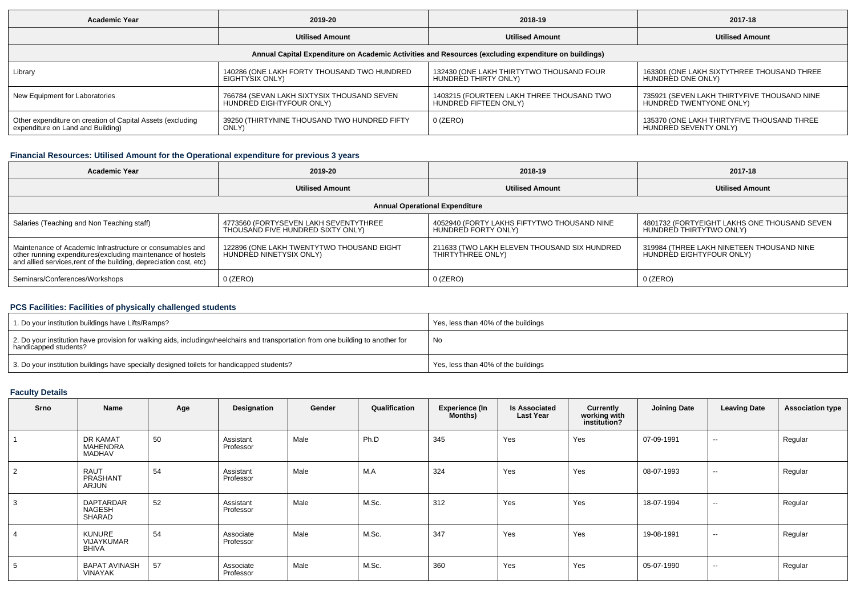| <b>Academic Year</b>                                                                                 | 2019-20                                      | 2018-19                                   | 2017-18                                     |  |  |  |  |  |  |  |  |  |
|------------------------------------------------------------------------------------------------------|----------------------------------------------|-------------------------------------------|---------------------------------------------|--|--|--|--|--|--|--|--|--|
|                                                                                                      | <b>Utilised Amount</b>                       | <b>Utilised Amount</b>                    | <b>Utilised Amount</b>                      |  |  |  |  |  |  |  |  |  |
| Annual Capital Expenditure on Academic Activities and Resources (excluding expenditure on buildings) |                                              |                                           |                                             |  |  |  |  |  |  |  |  |  |
| Library                                                                                              | 140286 (ONE LAKH FORTY THOUSAND TWO HUNDRED  | 132430 (ONE LAKH THIRTYTWO THOUSAND FOUR  | 163301 (ONE LAKH SIXTYTHREE THOUSAND THREE  |  |  |  |  |  |  |  |  |  |
|                                                                                                      | EIGHTYSIX ONLY)                              | HUNDRED THIRTY ONLY)                      | HUNDRÉD ONE ONLY)                           |  |  |  |  |  |  |  |  |  |
| New Equipment for Laboratories                                                                       | 766784 (SEVAN LAKH SIXTYSIX THOUSAND SEVEN   | 1403215 (FOURTEEN LAKH THREE THOUSAND TWO | 735921 (SEVEN LAKH THIRTYFIVE THOUSAND NINE |  |  |  |  |  |  |  |  |  |
|                                                                                                      | HUNDRÈD EIGHTYFOUR ONLY)                     | HUNDRED FIFTEEN ONLY)                     | HUNDRED TWENTYONE ONLY)                     |  |  |  |  |  |  |  |  |  |
| Other expenditure on creation of Capital Assets (excluding                                           | 39250 (THIRTYNINE THOUSAND TWO HUNDRED FIFTY | 0 (ZERO)                                  | 135370 (ONE LAKH THIRTYFIVE THOUSAND THREE  |  |  |  |  |  |  |  |  |  |
| expenditure on Land and Building)                                                                    | ONLY)                                        |                                           | HUNDRED SEVENTY ONLY)                       |  |  |  |  |  |  |  |  |  |

## **Financial Resources: Utilised Amount for the Operational expenditure for previous 3 years**

| <b>Academic Year</b>                                                                                                                                                                            | 2019-20                                                                    | 2018-19                                                            | 2017-18                                                                 |  |  |  |  |  |  |  |  |  |
|-------------------------------------------------------------------------------------------------------------------------------------------------------------------------------------------------|----------------------------------------------------------------------------|--------------------------------------------------------------------|-------------------------------------------------------------------------|--|--|--|--|--|--|--|--|--|
|                                                                                                                                                                                                 | <b>Utilised Amount</b>                                                     | <b>Utilised Amount</b>                                             | <b>Utilised Amount</b>                                                  |  |  |  |  |  |  |  |  |  |
| <b>Annual Operational Expenditure</b>                                                                                                                                                           |                                                                            |                                                                    |                                                                         |  |  |  |  |  |  |  |  |  |
| Salaries (Teaching and Non Teaching staff)                                                                                                                                                      | 4773560 (FORTYSEVEN LAKH SEVENTYTHREE<br>THOUSAND FIVE HUNDRED SIXTY ONLY) | 4052940 (FORTY LAKHS FIFTYTWO THOUSAND NINE<br>HUNDRED FORTY ONLY) | 4801732 (FORTYEIGHT LAKHS ONE THOUSAND SEVEN<br>HUNDRED THIRTYTWO ONLY) |  |  |  |  |  |  |  |  |  |
| Maintenance of Academic Infrastructure or consumables and<br>other running expenditures (excluding maintenance of hostels<br>and allied services, rent of the building, depreciation cost, etc) | 122896 (ONE LAKH TWENTYTWO THOUSAND EIGHT<br>HUNDRED NINETYSIX ONLY)       | 211633 (TWO LAKH ELEVEN THOUSAND SIX HUNDRED<br>THIRTYTHREE ONLY)  | 319984 (THREE LAKH NINETEEN THOUSAND NINE<br>HUNDRED EIGHTYFOUR ONLY)   |  |  |  |  |  |  |  |  |  |
| Seminars/Conferences/Workshops                                                                                                                                                                  | $0$ (ZERO)                                                                 | $0$ (ZERO)                                                         | $0$ (ZERO)                                                              |  |  |  |  |  |  |  |  |  |

## **PCS Facilities: Facilities of physically challenged students**

| 1. Do your institution buildings have Lifts/Ramps?                                                                                                        | Yes, less than 40% of the buildings |
|-----------------------------------------------------------------------------------------------------------------------------------------------------------|-------------------------------------|
| 2. Do your institution have provision for walking aids, includingwheelchairs and transportation from one building to another for<br>handicapped students? | No                                  |
| 3. Do your institution buildings have specially designed toilets for handicapped students?                                                                | Yes, less than 40% of the buildings |

### **Faculty Details**

| <b>Srno</b> | Name                                         | Age | Designation            | Gender | Qualification | <b>Experience (In</b><br>Months) | <b>Is Associated</b><br><b>Last Year</b> | <b>Currently</b><br>working with<br>institution? | <b>Joining Date</b> | <b>Leaving Date</b> | <b>Association type</b> |
|-------------|----------------------------------------------|-----|------------------------|--------|---------------|----------------------------------|------------------------------------------|--------------------------------------------------|---------------------|---------------------|-------------------------|
|             | DR KAMAT<br><b>MAHENDRA</b><br><b>MADHAV</b> | 50  | Assistant<br>Professor | Male   | Ph.D          | 345                              | Yes                                      | Yes                                              | 07-09-1991          | $\sim$              | Regular                 |
| 2           | <b>RAUT</b><br>PRASHANT<br>ARJUN             | 54  | Assistant<br>Professor | Male   | M.A           | 324                              | Yes                                      | Yes                                              | 08-07-1993          | $\sim$              | Regular                 |
| 3           | <b>DAPTARDAR</b><br>NAGESH<br>SHARAD         | 52  | Assistant<br>Professor | Male   | M.Sc.         | 312                              | Yes                                      | Yes                                              | 18-07-1994          | $\sim$              | Regular                 |
|             | <b>KUNURE</b><br>VIJAYKUMAR<br><b>BHIVA</b>  | 54  | Associate<br>Professor | Male   | M.Sc.         | 347                              | Yes                                      | Yes                                              | 19-08-1991          | $\sim$              | Regular                 |
| 5           | <b>BAPAT AVINASH</b><br><b>VINAYAK</b>       | 57  | Associate<br>Professor | Male   | M.Sc.         | 360                              | Yes                                      | Yes                                              | 05-07-1990          | $\sim$              | Regular                 |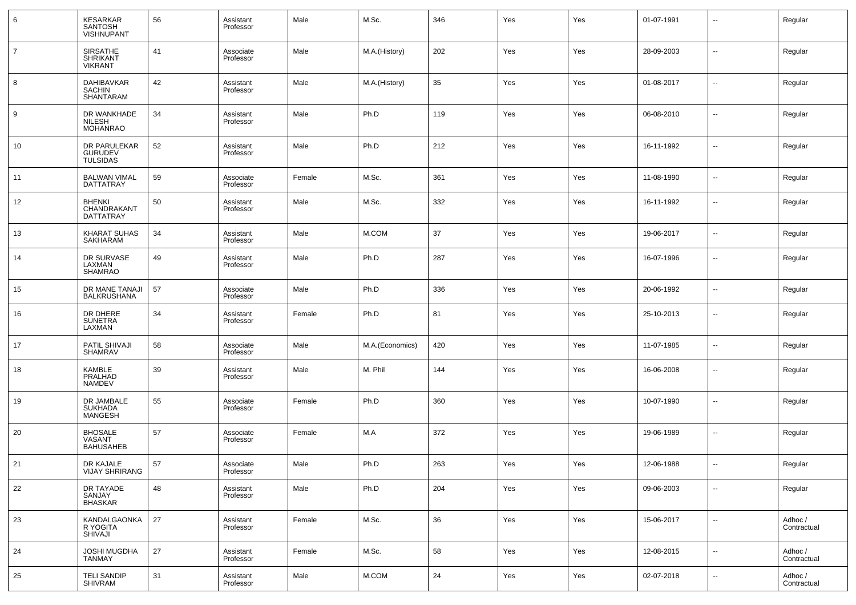| 6              | KESARKAR<br>SANTOSH<br><b>VISHNUPANT</b>             | 56 | Assistant<br>Professor | Male   | M.Sc.           | 346 | Yes | Yes | 01-07-1991 | --                       | Regular                |
|----------------|------------------------------------------------------|----|------------------------|--------|-----------------|-----|-----|-----|------------|--------------------------|------------------------|
| $\overline{7}$ | <b>SIRSATHE</b><br><b>SHRIKANT</b><br><b>VIKRANT</b> | 41 | Associate<br>Professor | Male   | M.A.(History)   | 202 | Yes | Yes | 28-09-2003 | $\ddotsc$                | Regular                |
| 8              | DAHIBAVKAR<br><b>SACHIN</b><br>SHANTARAM             | 42 | Assistant<br>Professor | Male   | M.A.(History)   | 35  | Yes | Yes | 01-08-2017 | --                       | Regular                |
| 9              | DR WANKHADE<br><b>NILESH</b><br><b>MOHANRAO</b>      | 34 | Assistant<br>Professor | Male   | Ph.D            | 119 | Yes | Yes | 06-08-2010 | $\overline{\phantom{a}}$ | Regular                |
| 10             | DR PARULEKAR<br>GURUDEV<br>TULSIDAS                  | 52 | Assistant<br>Professor | Male   | Ph.D            | 212 | Yes | Yes | 16-11-1992 | $\overline{\phantom{a}}$ | Regular                |
| 11             | <b>BALWAN VIMAL</b><br>DATTATRAY                     | 59 | Associate<br>Professor | Female | M.Sc.           | 361 | Yes | Yes | 11-08-1990 | --                       | Regular                |
| 12             | <b>BHENKI</b><br>CHANDRAKANT<br><b>DATTATRAY</b>     | 50 | Assistant<br>Professor | Male   | M.Sc.           | 332 | Yes | Yes | 16-11-1992 | --                       | Regular                |
| 13             | KHARAT SUHAS<br>SAKHARAM                             | 34 | Assistant<br>Professor | Male   | M.COM           | 37  | Yes | Yes | 19-06-2017 | ⊶.                       | Regular                |
| 14             | DR SURVASE<br>LAXMAN<br><b>SHAMRAO</b>               | 49 | Assistant<br>Professor | Male   | Ph.D            | 287 | Yes | Yes | 16-07-1996 | $\overline{\phantom{a}}$ | Regular                |
| 15             | DR MANE TANAJI<br><b>BALKRUSHANA</b>                 | 57 | Associate<br>Professor | Male   | Ph.D            | 336 | Yes | Yes | 20-06-1992 | н.                       | Regular                |
| 16             | DR DHERE<br><b>SUNETRA</b><br>LAXMAN                 | 34 | Assistant<br>Professor | Female | Ph.D            | 81  | Yes | Yes | 25-10-2013 | -−                       | Regular                |
| 17             | PATIL SHIVAJI<br><b>SHAMRAV</b>                      | 58 | Associate<br>Professor | Male   | M.A.(Economics) | 420 | Yes | Yes | 11-07-1985 | --                       | Regular                |
| 18             | <b>KAMBLE</b><br>PRALHAD<br><b>NAMDEV</b>            | 39 | Assistant<br>Professor | Male   | M. Phil         | 144 | Yes | Yes | 16-06-2008 | --                       | Regular                |
| 19             | DR JAMBALE<br><b>SUKHADA</b><br><b>MANGESH</b>       | 55 | Associate<br>Professor | Female | Ph.D            | 360 | Yes | Yes | 10-07-1990 | --                       | Regular                |
| 20             | <b>BHOSALE</b><br>VASANT<br><b>BAHUSAHEB</b>         | 57 | Associate<br>Professor | Female | M.A             | 372 | Yes | Yes | 19-06-1989 | ⊶.                       | Regular                |
| 21             | DR KAJALE<br><b>VIJAY SHRIRANG</b>                   | 57 | Associate<br>Professor | Male   | Ph.D            | 263 | Yes | Yes | 12-06-1988 | -−                       | Regular                |
| 22             | DR TAYADE<br>SANJAY<br><b>BHASKAR</b>                | 48 | Assistant<br>Professor | Male   | Ph.D            | 204 | Yes | Yes | 09-06-2003 | ⊶.                       | Regular                |
| 23             | <b>KANDALGAONKA</b><br>R YOGITA<br>SHIVAJI           | 27 | Assistant<br>Professor | Female | M.Sc.           | 36  | Yes | Yes | 15-06-2017 | ⊷                        | Adhoc /<br>Contractual |
| 24             | JOSHI MUGDHA<br><b>TANMAY</b>                        | 27 | Assistant<br>Professor | Female | M.Sc.           | 58  | Yes | Yes | 12-08-2015 | н.                       | Adhoc /<br>Contractual |
| 25             | <b>TELI SANDIP</b><br><b>SHIVRAM</b>                 | 31 | Assistant<br>Professor | Male   | M.COM           | 24  | Yes | Yes | 02-07-2018 | н.                       | Adhoc /<br>Contractual |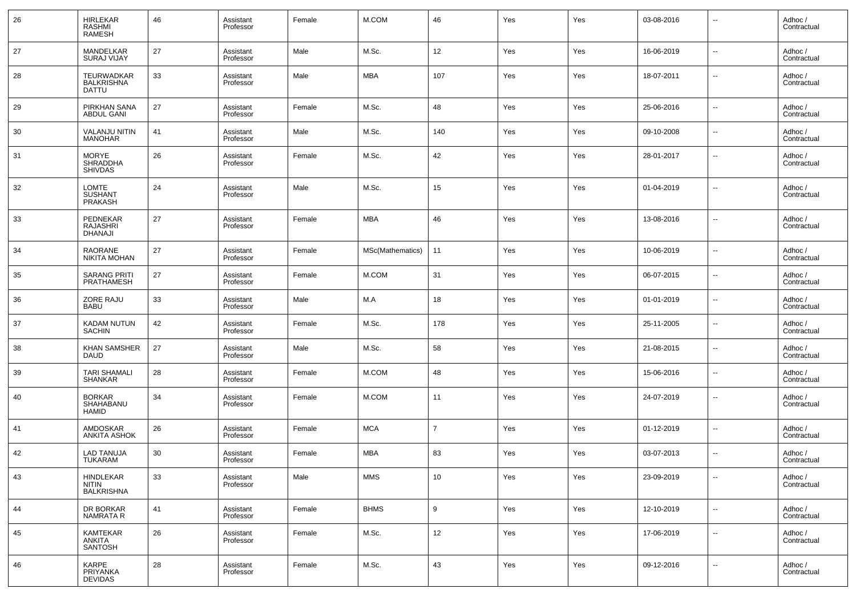| 26 | <b>HIRLEKAR</b><br>RASHMI<br><b>RAMESH</b>             | 46 | Assistant<br>Professor | Female | M.COM            | 46              | Yes | Yes | 03-08-2016 | $\overline{\phantom{a}}$ | Adhoc /<br>Contractual |
|----|--------------------------------------------------------|----|------------------------|--------|------------------|-----------------|-----|-----|------------|--------------------------|------------------------|
| 27 | MANDELKAR<br><b>SURAJ VIJAY</b>                        | 27 | Assistant<br>Professor | Male   | M.Sc.            | 12              | Yes | Yes | 16-06-2019 | $\overline{a}$           | Adhoc /<br>Contractual |
| 28 | <b>TEURWADKAR</b><br><b>BALKRISHNA</b><br><b>DATTU</b> | 33 | Assistant<br>Professor | Male   | <b>MBA</b>       | 107             | Yes | Yes | 18-07-2011 | --                       | Adhoc/<br>Contractual  |
| 29 | PIRKHAN SANA<br><b>ABDUL GANI</b>                      | 27 | Assistant<br>Professor | Female | M.Sc.            | 48              | Yes | Yes | 25-06-2016 | --                       | Adhoc /<br>Contractual |
| 30 | <b>VALANJU NITIN</b><br><b>MANOHAR</b>                 | 41 | Assistant<br>Professor | Male   | M.Sc.            | 140             | Yes | Yes | 09-10-2008 | --                       | Adhoc /<br>Contractual |
| 31 | <b>MORYE</b><br><b>SHRADDHA</b><br><b>SHIVDAS</b>      | 26 | Assistant<br>Professor | Female | M.Sc.            | 42              | Yes | Yes | 28-01-2017 | --                       | Adhoc /<br>Contractual |
| 32 | LOMTE<br><b>SUSHANT</b><br>PRAKASH                     | 24 | Assistant<br>Professor | Male   | M.Sc.            | 15              | Yes | Yes | 01-04-2019 | --                       | Adhoc /<br>Contractual |
| 33 | PEDNEKAR<br><b>RAJASHRI</b><br><b>DHANAJI</b>          | 27 | Assistant<br>Professor | Female | <b>MBA</b>       | 46              | Yes | Yes | 13-08-2016 | --                       | Adhoc /<br>Contractual |
| 34 | RAORANE<br>NIKITA MOHAN                                | 27 | Assistant<br>Professor | Female | MSc(Mathematics) | 11              | Yes | Yes | 10-06-2019 | --                       | Adhoc /<br>Contractual |
| 35 | <b>SARANG PRITI</b><br><b>PRATHAMESH</b>               | 27 | Assistant<br>Professor | Female | M.COM            | 31              | Yes | Yes | 06-07-2015 | $\overline{\phantom{a}}$ | Adhoc /<br>Contractual |
| 36 | ZORE RAJU<br><b>BABU</b>                               | 33 | Assistant<br>Professor | Male   | M.A              | 18              | Yes | Yes | 01-01-2019 | н.                       | Adhoc /<br>Contractual |
| 37 | <b>KADAM NUTUN</b><br><b>SACHIN</b>                    | 42 | Assistant<br>Professor | Female | M.Sc.            | 178             | Yes | Yes | 25-11-2005 | ш,                       | Adhoc /<br>Contractual |
| 38 | <b>KHAN SAMSHER</b><br><b>DAUD</b>                     | 27 | Assistant<br>Professor | Male   | M.Sc.            | 58              | Yes | Yes | 21-08-2015 | ш,                       | Adhoc /<br>Contractual |
| 39 | <b>TARI SHAMALI</b><br><b>SHANKAR</b>                  | 28 | Assistant<br>Professor | Female | M.COM            | 48              | Yes | Yes | 15-06-2016 | --                       | Adhoc /<br>Contractual |
| 40 | <b>BORKAR</b><br>SHAHABANU<br><b>HAMID</b>             | 34 | Assistant<br>Professor | Female | M.COM            | 11              | Yes | Yes | 24-07-2019 | --                       | Adhoc /<br>Contractual |
| 41 | <b>AMDOSKAR</b><br><b>ANKITA ASHOK</b>                 | 26 | Assistant<br>Professor | Female | <b>MCA</b>       | 7               | Yes | Yes | 01-12-2019 | --                       | Adhoc /<br>Contractual |
| 42 | LAD TANUJA<br>TUKARAM                                  | 30 | Assistant<br>Professor | Female | <b>MBA</b>       | 83              | Yes | Yes | 03-07-2013 | --                       | Adhoc /<br>Contractual |
| 43 | <b>HINDLEKAR</b><br>NITIN<br><b>BALKRISHNA</b>         | 33 | Assistant<br>Professor | Male   | <b>MMS</b>       | 10 <sup>°</sup> | Yes | Yes | 23-09-2019 | $\sim$                   | Adhoc /<br>Contractual |
| 44 | DR BORKAR<br>NAMRATA R                                 | 41 | Assistant<br>Professor | Female | <b>BHMS</b>      | $9\,$           | Yes | Yes | 12-10-2019 | $\overline{\phantom{a}}$ | Adhoc /<br>Contractual |
| 45 | KAMTEKAR<br><b>ANKITA</b><br><b>SANTOSH</b>            | 26 | Assistant<br>Professor | Female | M.Sc.            | 12              | Yes | Yes | 17-06-2019 | $\sim$                   | Adhoc /<br>Contractual |
| 46 | KARPE<br>PRIYANKA<br><b>DEVIDAS</b>                    | 28 | Assistant<br>Professor | Female | M.Sc.            | 43              | Yes | Yes | 09-12-2016 | н.                       | Adhoc /<br>Contractual |